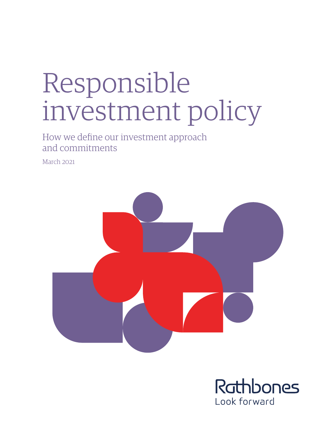# Responsible investment policy

How we define our investment approach and commitments

March 2021



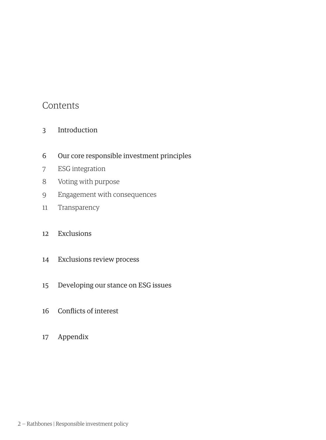### Contents

- Introduction
- Our core responsible investment principles
- ESG integration
- Voting with purpose
- Engagement with consequences
- Transparency

#### Exclusions

- Exclusions review process
- Developing our stance on ESG issues
- Conflicts of interest
- Appendix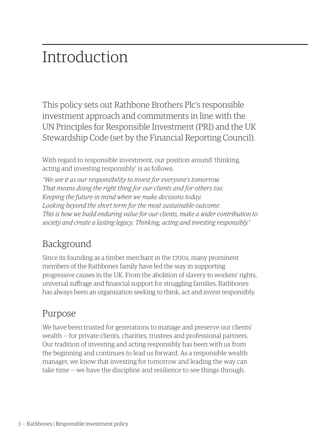## Introduction

This policy sets out Rathbone Brothers Plc's responsible investment approach and commitments in line with the UN Principles for Responsible Investment (PRI) and the UK Stewardship Code (set by the Financial Reporting Council).

With regard to responsible investment, our position around 'thinking, acting and investing responsibly' is as follows:

*"We see it as our responsibility to invest for everyone's tomorrow. That means doing the right thing for our clients and for others too. Keeping the future in mind when we make decisions today. Looking beyond the short term for the most sustainable outcome. This is how we build enduring value for our clients, make a wider contribution to society and create a lasting legacy. Thinking, acting and investing responsibly."* 

## Background

Since its founding as a timber merchant in the 1700s, many prominent members of the Rathbones family have led the way in supporting progressive causes in the UK. From the abolition of slavery to workers' rights, universal suffrage and financial support for struggling families, Rathbones has always been an organisation seeking to think, act and invest responsibly.

## Purpose

We have been trusted for generations to manage and preserve our clients' wealth — for private clients, charities, trustees and professional partners. Our tradition of investing and acting responsibly has been with us from the beginning and continues to lead us forward. As a responsible wealth manager, we know that investing for tomorrow and leading the way can take time — we have the discipline and resilience to see things through.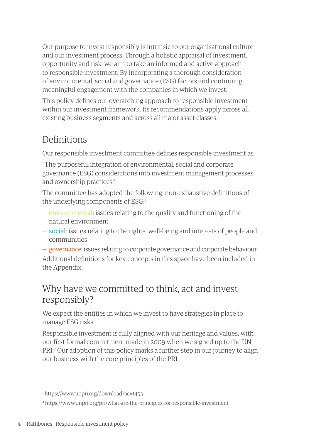Our purpose to invest responsibly is intrinsic to our organisational culture and our investment process. Through a holistic appraisal of investment, opportunity and risk, we aim to take an informed and active approach to responsible investment. By incorporating a thorough consideration of environmental, social and governance (ESG) factors and continuing meaningful engagement with the companies in which we invest.

This policy defines our overarching approach to responsible investment within our investment framework. Its recommendations apply across all existing business segments and across all major asset classes.

### Definitions

Our responsible investment committee defines responsible investment as:

"The purposeful integration of environmental, social and corporate governance (ESG) considerations into investment management processes and ownership practices."

The committee has adopted the following, non-exhaustive definitions of the underlying components of ESG:1

- environmental: issues relating to the quality and functioning of the natural environment
- social: issues relating to the rights, well-being and interests of people and communities
- governance: issues relating to corporate governance and corporate behaviour Additional definitions for key concepts in this space have been included in the Appendix.

### Why have we committed to think, act and invest responsibly?

We expect the entities in which we invest to have strategies in place to manage ESG risks.

Responsible investment is fully aligned with our heritage and values, with our first formal commitment made in 2009 when we signed up to the UN PRI.2 Our adoption of this policy marks a further step in our journey to align our business with the core principles of the PRI.

<sup>1</sup> https://www.unpri.org/download?ac=1453

<sup>2</sup> https://www.unpri.org/pri/what-are-the-principles-for-responsible-investment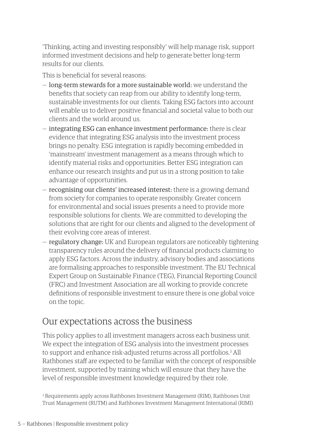'Thinking, acting and investing responsibly' will help manage risk, support informed investment decisions and help to generate better long-term results for our clients.

This is beneficial for several reasons:

- long-term stewards for a more sustainable world: we understand the benefits that society can reap from our ability to identify long-term, sustainable investments for our clients. Taking ESG factors into account will enable us to deliver positive financial and societal value to both our clients and the world around us.
- integrating ESG can enhance investment performance: there is clear evidence that integrating ESG analysis into the investment process brings no penalty. ESG integration is rapidly becoming embedded in 'mainstream' investment management as a means through which to identify material risks and opportunities. Better ESG integration can enhance our research insights and put us in a strong position to take advantage of opportunities.
- recognising our clients' increased interest: there is a growing demand from society for companies to operate responsibly. Greater concern for environmental and social issues presents a need to provide more responsible solutions for clients. We are committed to developing the solutions that are right for our clients and aligned to the development of their evolving core areas of interest.
- regulatory change: UK and European regulators are noticeably tightening transparency rules around the delivery of financial products claiming to apply ESG factors. Across the industry, advisory bodies and associations are formalising approaches to responsible investment. The EU Technical Expert Group on Sustainable Finance (TEG), Financial Reporting Council (FRC) and Investment Association are all working to provide concrete definitions of responsible investment to ensure there is one global voice on the topic.

## Our expectations across the business

This policy applies to all investment managers across each business unit. We expect the integration of ESG analysis into the investment processes to support and enhance risk-adjusted returns across all portfolios.<sup>3</sup> All Rathbones staff are expected to be familiar with the concept of responsible investment, supported by training which will ensure that they have the level of responsible investment knowledge required by their role.

3 Requirements apply across Rathbones Investment Management (RIM), Rathbones Unit Trust Management (RUTM) and Rathbones Investment Management International (RIMI)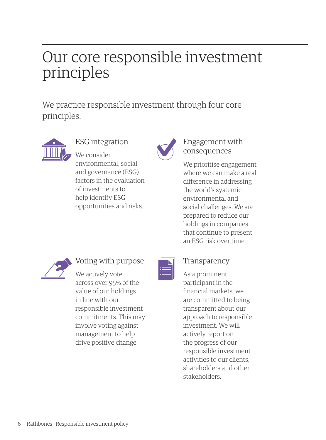## Our core responsible investment principles

We practice responsible investment through four core principles.



ESG integration We consider

environmental, social and governance (ESG) factors in the evaluation of investments to help identify ESG opportunities and risks.



#### Engagement with consequences

We prioritise engagement where we can make a real difference in addressing the world's systemic environmental and social challenges. We are prepared to reduce our holdings in companies that continue to present an ESG risk over time.



### Voting with purpose

We actively vote across over 95% of the value of our holdings in line with our responsible investment commitments. This may involve voting against management to help drive positive change.

| E |  |
|---|--|
|   |  |
|   |  |
|   |  |

#### Transparency

As a prominent participant in the financial markets, we are committed to being transparent about our approach to responsible investment. We will actively report on the progress of our responsible investment activities to our clients, shareholders and other stakeholders.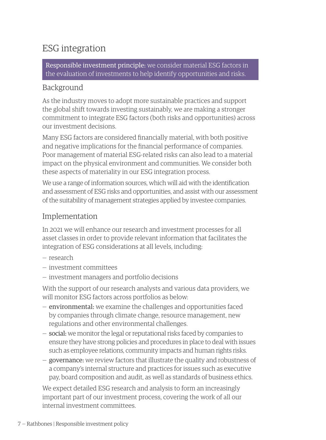## ESG integration

Responsible investment principle: we consider material ESG factors in the evaluation of investments to help identify opportunities and risks.

#### Background

As the industry moves to adopt more sustainable practices and support the global shift towards investing sustainably, we are making a stronger commitment to integrate ESG factors (both risks and opportunities) across our investment decisions.

Many ESG factors are considered financially material, with both positive and negative implications for the financial performance of companies. Poor management of material ESG-related risks can also lead to a material impact on the physical environment and communities. We consider both these aspects of materiality in our ESG integration process.

We use a range of information sources, which will aid with the identification and assessment of ESG risks and opportunities, and assist with our assessment of the suitability of management strategies applied by investee companies.

#### Implementation

In 2021 we will enhance our research and investment processes for all asset classes in order to provide relevant information that facilitates the integration of ESG considerations at all levels, including:

- research
- investment committees
- investment managers and portfolio decisions

With the support of our research analysts and various data providers, we will monitor ESG factors across portfolios as below:

- environmental: we examine the challenges and opportunities faced by companies through climate change, resource management, new regulations and other environmental challenges.
- social: we monitor the legal or reputational risks faced by companies to ensure they have strong policies and procedures in place to deal with issues such as employee relations, community impacts and human rights risks.
- governance: we review factors that illustrate the quality and robustness of a company's internal structure and practices for issues such as executive pay, board composition and audit, as well as standards of business ethics.

We expect detailed ESG research and analysis to form an increasingly important part of our investment process, covering the work of all our internal investment committees.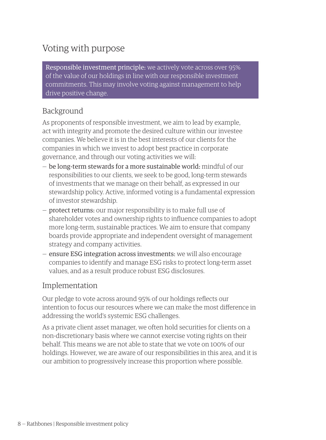## Voting with purpose

Responsible investment principle: we actively vote across over 95% of the value of our holdings in line with our responsible investment commitments. This may involve voting against management to help drive positive change.

#### Background

As proponents of responsible investment, we aim to lead by example, act with integrity and promote the desired culture within our investee companies. We believe it is in the best interests of our clients for the companies in which we invest to adopt best practice in corporate governance, and through our voting activities we will:

- be long-term stewards for a more sustainable world: mindful of our responsibilities to our clients, we seek to be good, long-term stewards of investments that we manage on their behalf, as expressed in our stewardship policy. Active, informed voting is a fundamental expression of investor stewardship.
- protect returns: our major responsibility is to make full use of shareholder votes and ownership rights to influence companies to adopt more long-term, sustainable practices. We aim to ensure that company boards provide appropriate and independent oversight of management strategy and company activities.
- ensure ESG integration across investments: we will also encourage companies to identify and manage ESG risks to protect long-term asset values, and as a result produce robust ESG disclosures.

#### Implementation

Our pledge to vote across around 95% of our holdings reflects our intention to focus our resources where we can make the most difference in addressing the world's systemic ESG challenges.

As a private client asset manager, we often hold securities for clients on a non-discretionary basis where we cannot exercise voting rights on their behalf. This means we are not able to state that we vote on 100% of our holdings. However, we are aware of our responsibilities in this area, and it is our ambition to progressively increase this proportion where possible.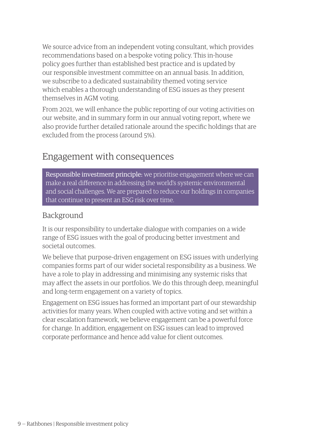We source advice from an independent voting consultant, which provides recommendations based on a bespoke voting policy. This in-house policy goes further than established best practice and is updated by our responsible investment committee on an annual basis. In addition, we subscribe to a dedicated sustainability themed voting service which enables a thorough understanding of ESG issues as they present themselves in AGM voting.

From 2021, we will enhance the public reporting of our voting activities on our website, and in summary form in our annual voting report, where we also provide further detailed rationale around the specific holdings that are excluded from the process (around 5%).

### Engagement with consequences

Responsible investment principle: we prioritise engagement where we can make a real difference in addressing the world's systemic environmental and social challenges. We are prepared to reduce our holdings in companies that continue to present an ESG risk over time.

#### Background

It is our responsibility to undertake dialogue with companies on a wide range of ESG issues with the goal of producing better investment and societal outcomes.

We believe that purpose-driven engagement on ESG issues with underlying companies forms part of our wider societal responsibility as a business. We have a role to play in addressing and minimising any systemic risks that may affect the assets in our portfolios. We do this through deep, meaningful and long-term engagement on a variety of topics.

Engagement on ESG issues has formed an important part of our stewardship activities for many years. When coupled with active voting and set within a clear escalation framework, we believe engagement can be a powerful force for change. In addition, engagement on ESG issues can lead to improved corporate performance and hence add value for client outcomes.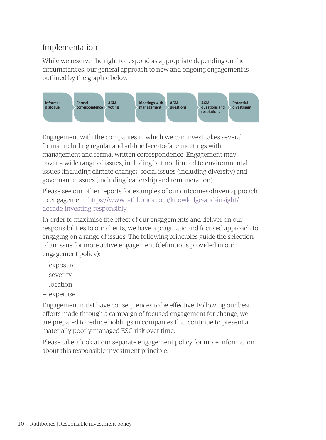#### Implementation

While we reserve the right to respond as appropriate depending on the circumstances, our general approach to new and ongoing engagement is outlined by the graphic below.



Engagement with the companies in which we can invest takes several forms, including regular and ad-hoc face-to-face meetings with management and formal written correspondence. Engagement may cover a wide range of issues, including but not limited to environmental issues (including climate change), social issues (including diversity) and governance issues (including leadership and remuneration).

Please see our other reports for examples of our outcomes-driven approach to engagement: [https://www.rathbones.com/knowledge-and-insight/](https://www.rathbones.com/knowledge-and-insight/decade-investing-responsibly) [decade-investing-responsibly](https://www.rathbones.com/knowledge-and-insight/decade-investing-responsibly)

In order to maximise the effect of our engagements and deliver on our responsibilities to our clients, we have a pragmatic and focused approach to engaging on a range of issues. The following principles guide the selection of an issue for more active engagement (definitions provided in our engagement policy):

- exposure
- severity
- location
- expertise

Engagement must have consequences to be effective. Following our best efforts made through a campaign of focused engagement for change, we are prepared to reduce holdings in companies that continue to present a materially poorly managed ESG risk over time.

Please take a look at our separate engagement policy for more information about this responsible investment principle.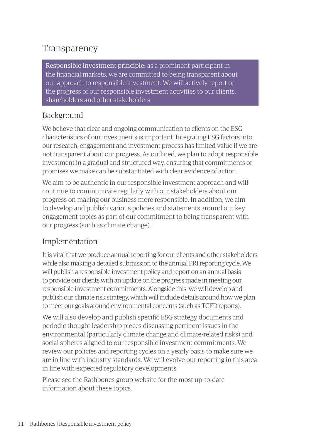## Transparency

Responsible investment principle: as a prominent participant in the financial markets, we are committed to being transparent about our approach to responsible investment. We will actively report on the progress of our responsible investment activities to our clients, shareholders and other stakeholders.

#### Background

We believe that clear and ongoing communication to clients on the ESG characteristics of our investments is important. Integrating ESG factors into our research, engagement and investment process has limited value if we are not transparent about our progress. As outlined, we plan to adopt responsible investment in a gradual and structured way, ensuring that commitments or promises we make can be substantiated with clear evidence of action.

We aim to be authentic in our responsible investment approach and will continue to communicate regularly with our stakeholders about our progress on making our business more responsible. In addition, we aim to develop and publish various policies and statements around our key engagement topics as part of our commitment to being transparent with our progress (such as climate change).

#### Implementation

It is vital that we produce annual reporting for our clients and other stakeholders, while also making a detailed submission to the annual PRI reporting cycle. We will publish a responsible investment policy and report on an annual basis to provide our clients with an update on the progress made in meeting our responsible investment commitments. Alongside this, we will develop and publish our climate risk strategy, which will include details around how we plan to meet our goals around environmental concerns (such as TCFD reports).

We will also develop and publish specific ESG strategy documents and periodic thought leadership pieces discussing pertinent issues in the environmental (particularly climate change and climate-related risks) and social spheres aligned to our responsible investment commitments. We review our policies and reporting cycles on a yearly basis to make sure we are in line with industry standards. We will evolve our reporting in this area in line with expected regulatory developments.

Please see the Rathbones group website for the most up-to-date information about these topics.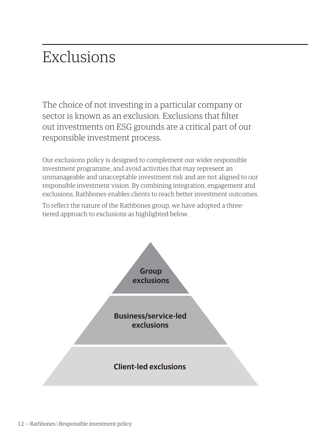## Exclusions

The choice of not investing in a particular company or sector is known as an exclusion. Exclusions that filter out investments on ESG grounds are a critical part of our responsible investment process.

Our exclusions policy is designed to complement our wider responsible investment programme, and avoid activities that may represent an unmanageable and unacceptable investment risk and are not aligned to our responsible investment vision. By combining integration, engagement and exclusions, Rathbones enables clients to reach better investment outcomes.

To reflect the nature of the Rathbones group, we have adopted a threetiered approach to exclusions as highlighted below.

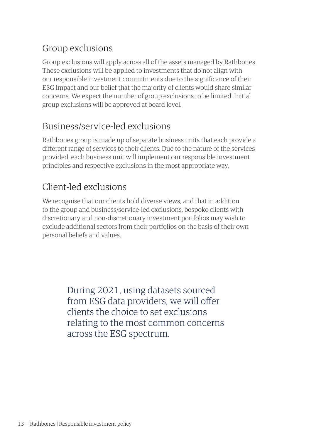## Group exclusions

Group exclusions will apply across all of the assets managed by Rathbones. These exclusions will be applied to investments that do not align with our responsible investment commitments due to the significance of their ESG impact and our belief that the majority of clients would share similar concerns. We expect the number of group exclusions to be limited. Initial group exclusions will be approved at board level.

## Business/service-led exclusions

Rathbones group is made up of separate business units that each provide a different range of services to their clients. Due to the nature of the services provided, each business unit will implement our responsible investment principles and respective exclusions in the most appropriate way.

## Client-led exclusions

We recognise that our clients hold diverse views, and that in addition to the group and business/service-led exclusions, bespoke clients with discretionary and non-discretionary investment portfolios may wish to exclude additional sectors from their portfolios on the basis of their own personal beliefs and values.

> During 2021, using datasets sourced from ESG data providers, we will offer clients the choice to set exclusions relating to the most common concerns across the ESG spectrum.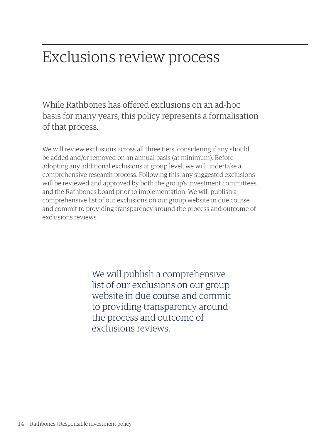## Exclusions review process

While Rathbones has offered exclusions on an ad-hoc basis for many years, this policy represents a formalisation of that process.

We will review exclusions across all three tiers, considering if any should be added and/or removed on an annual basis (at minimum). Before adopting any additional exclusions at group level, we will undertake a comprehensive research process. Following this, any suggested exclusions will be reviewed and approved by both the group's investment committees and the Rathbones board prior to implementation. We will publish a comprehensive list of our exclusions on our group website in due course and commit to providing transparency around the process and outcome of exclusions reviews.

> We will publish a comprehensive list of our exclusions on our group website in due course and commit to providing transparency around the process and outcome of exclusions reviews.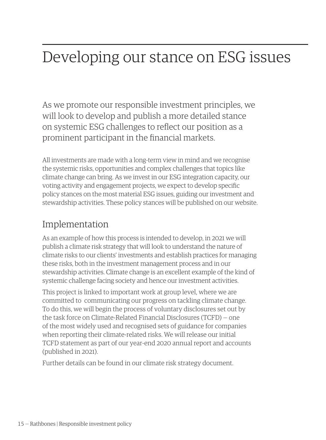## Developing our stance on ESG issues

As we promote our responsible investment principles, we will look to develop and publish a more detailed stance on systemic ESG challenges to reflect our position as a prominent participant in the financial markets.

All investments are made with a long-term view in mind and we recognise the systemic risks, opportunities and complex challenges that topics like climate change can bring. As we invest in our ESG integration capacity, our voting activity and engagement projects, we expect to develop specific policy stances on the most material ESG issues, guiding our investment and stewardship activities. These policy stances will be published on our website.

### Implementation

As an example of how this process is intended to develop, in 2021 we will publish a climate risk strategy that will look to understand the nature of climate risks to our clients' investments and establish practices for managing these risks, both in the investment management process and in our stewardship activities. Climate change is an excellent example of the kind of systemic challenge facing society and hence our investment activities.

This project is linked to important work at group level, where we are committed to communicating our progress on tackling climate change. To do this, we will begin the process of voluntary disclosures set out by the task force on Climate-Related Financial Disclosures (TCFD) — one of the most widely used and recognised sets of guidance for companies when reporting their climate-related risks. We will release our initial TCFD statement as part of our year-end 2020 annual report and accounts (published in 2021).

Further details can be found in our climate risk strategy document.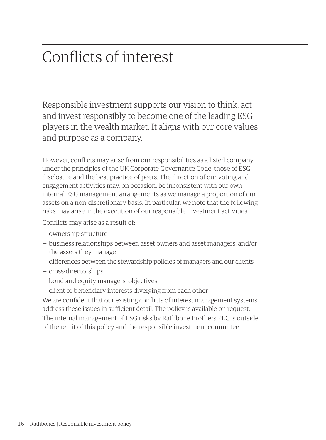## Conflicts of interest

Responsible investment supports our vision to think, act and invest responsibly to become one of the leading ESG players in the wealth market. It aligns with our core values and purpose as a company.

However, conflicts may arise from our responsibilities as a listed company under the principles of the UK Corporate Governance Code, those of ESG disclosure and the best practice of peers. The direction of our voting and engagement activities may, on occasion, be inconsistent with our own internal ESG management arrangements as we manage a proportion of our assets on a non-discretionary basis. In particular, we note that the following risks may arise in the execution of our responsible investment activities.

Conflicts may arise as a result of:

- ownership structure
- business relationships between asset owners and asset managers, and/or the assets they manage
- differences between the stewardship policies of managers and our clients
- cross-directorships
- bond and equity managers' objectives
- client or beneficiary interests diverging from each other

We are confident that our existing conflicts of interest management systems address these issues in sufficient detail. The policy is available on request.

The internal management of ESG risks by Rathbone Brothers PLC is outside of the remit of this policy and the responsible investment committee.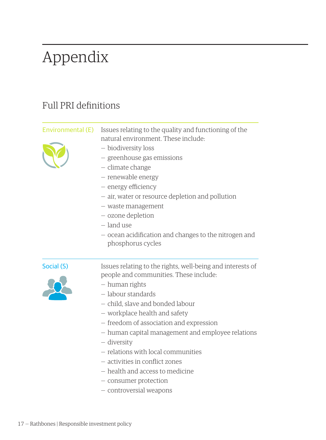## Appendix

## Full PRI definitions

| Environmental (E) | Issues relating to the quality and functioning of the<br>natural environment. These include:<br>- biodiversity loss<br>- greenhouse gas emissions<br>- climate change<br>- renewable energy<br>- energy efficiency<br>- air, water or resource depletion and pollution<br>- waste management<br>– ozone depletion<br>– land use<br>- ocean acidification and changes to the nitrogen and<br>phosphorus cycles |
|-------------------|---------------------------------------------------------------------------------------------------------------------------------------------------------------------------------------------------------------------------------------------------------------------------------------------------------------------------------------------------------------------------------------------------------------|
| Social (S)        | Issues relating to the rights, well-being and interests of<br>people and communities. These include:<br>– human rights<br>$-$ labour standards<br>- child, slave and bonded labour<br>– workplace health and safety<br>- freedom of association and expression<br>- human capital management and employee relations<br>– diversity<br>- relations with local communities<br>– activities in conflict zones    |

- health and access to medicine
- consumer protection
- controversial weapons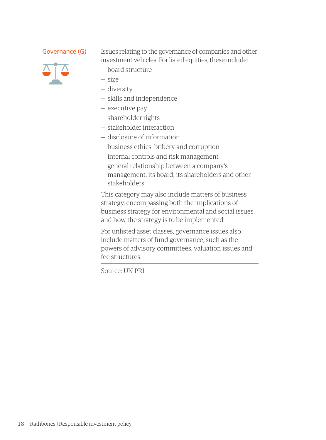

Governance (G) Issues relating to the governance of companies and other investment vehicles. For listed equities, these include:

- board structure
- size
- diversity
- skills and independence
- executive pay
- shareholder rights
- stakeholder interaction
- disclosure of information
- business ethics, bribery and corruption
- internal controls and risk management
- general relationship between a company's management, its board, its shareholders and other stakeholders

This category may also include matters of business strategy, encompassing both the implications of business strategy for environmental and social issues, and how the strategy is to be implemented.

For unlisted asset classes, governance issues also include matters of fund governance, such as the powers of advisory committees, valuation issues and fee structures.

Source: UN PRI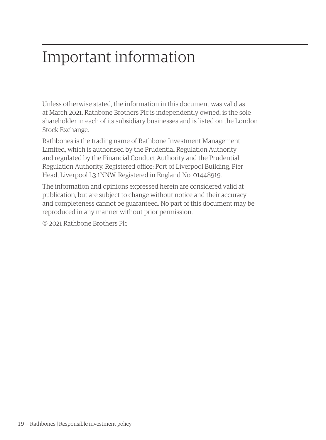## Important information

Unless otherwise stated, the information in this document was valid as at March 2021. Rathbone Brothers Plc is independently owned, is the sole shareholder in each of its subsidiary businesses and is listed on the London Stock Exchange.

Rathbones is the trading name of Rathbone Investment Management Limited, which is authorised by the Prudential Regulation Authority and regulated by the Financial Conduct Authority and the Prudential Regulation Authority. Registered office: Port of Liverpool Building, Pier Head, Liverpool L3 1NNW. Registered in England No. 01448919.

The information and opinions expressed herein are considered valid at publication, but are subject to change without notice and their accuracy and completeness cannot be guaranteed. No part of this document may be reproduced in any manner without prior permission.

© 2021 Rathbone Brothers Plc